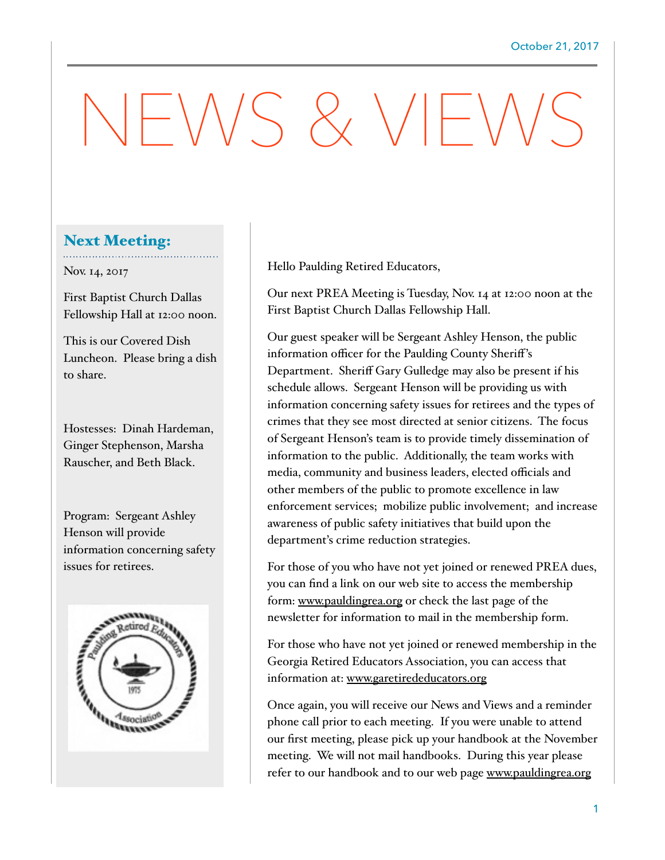## $-\sqrt{N}S \& VF'$

## Next Meeting:

Nov. 14, 2017

First Baptist Church Dallas Fellowship Hall at 12:00 noon.

This is our Covered Dish Luncheon. Please bring a dish to share.

Hostesses: Dinah Hardeman, Ginger Stephenson, Marsha Rauscher, and Beth Black.

Program: Sergeant Ashley Henson will provide information concerning safety issues for retirees.



Hello Paulding Retired Educators,

Our next PREA Meeting is Tuesday, Nov. 14 at 12:00 noon at the First Baptist Church Dallas Fellowship Hall.

Our guest speaker will be Sergeant Ashley Henson, the public information officer for the Paulding County Sheriff's Department. Sheriff Gary Gulledge may also be present if his schedule allows. Sergeant Henson will be providing us with information concerning safety issues for retirees and the types of crimes that they see most directed at senior citizens. The focus of Sergeant Henson's team is to provide timely dissemination of information to the public. Additionally, the team works with media, community and business leaders, elected officials and other members of the public to promote excellence in law enforcement services; mobilize public involvement; and increase awareness of public safety initiatives that build upon the department's crime reduction strategies.

For those of you who have not yet joined or renewed PREA dues, you can find a link on our web site to access the membership form: [www.pauldingrea.org](http://www.pauldingrea.org) or check the last page of the newsletter for information to mail in the membership form.

For those who have not yet joined or renewed membership in the Georgia Retired Educators Association, you can access that information at: [www.garetirededucators.org](http://www.garetirededucators.org)

Once again, you will receive our News and Views and a reminder phone call prior to each meeting. If you were unable to attend our first meeting, please pick up your handbook at the November meeting. We will not mail handbooks. During this year please refer to our handbook and to our web page [www.pauldingrea.org](http://www.pauldingrea.org)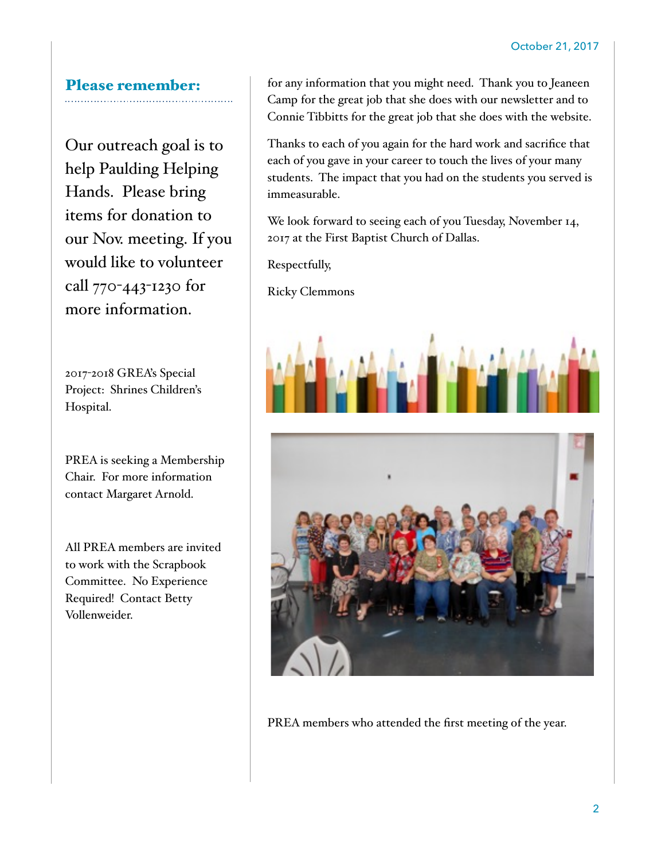## Please remember:

Our outreach goal is to help Paulding Helping Hands. Please bring items for donation to our Nov. meeting. If you would like to volunteer call 770-443-1230 for more information.

2017-2018 GREA's Special Project: Shrines Children's Hospital.

PREA is seeking a Membership Chair. For more information contact Margaret Arnold.

All PREA members are invited to work with the Scrapbook Committee. No Experience Required! Contact Betty Vollenweider.

for any information that you might need. Thank you to Jeaneen Camp for the great job that she does with our newsletter and to Connie Tibbitts for the great job that she does with the website.

Thanks to each of you again for the hard work and sacrifice that each of you gave in your career to touch the lives of your many students. The impact that you had on the students you served is immeasurable.

We look forward to seeing each of you Tuesday, November 14, 2017 at the First Baptist Church of Dallas.

Respectfully,

Ricky Clemmons





PREA members who attended the first meeting of the year.